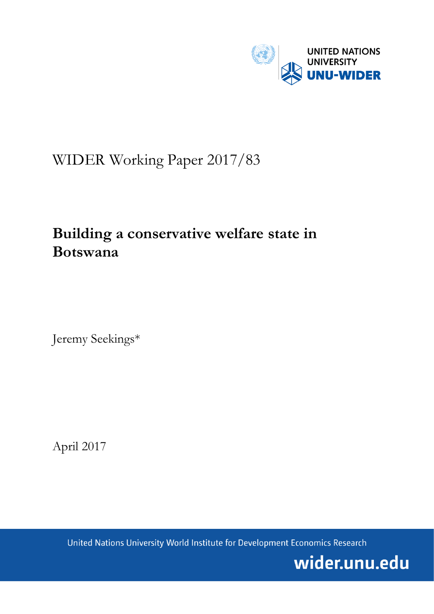

# WIDER Working Paper 2017/83

# **Building a conservative welfare state in Botswana**

Jeremy Seekings\*

April 2017

United Nations University World Institute for Development Economics Research

wider.unu.edu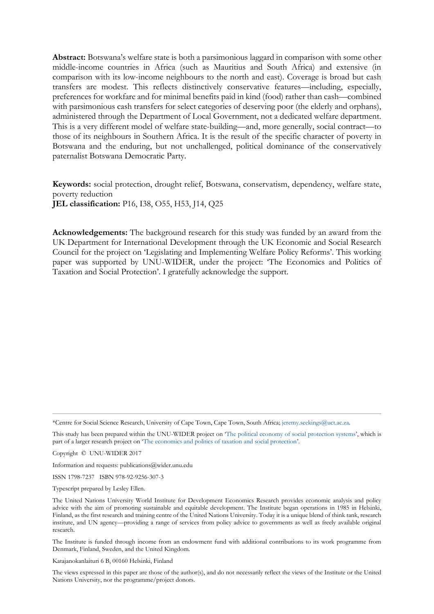**Abstract:** Botswana's welfare state is both a parsimonious laggard in comparison with some other middle-income countries in Africa (such as Mauritius and South Africa) and extensive (in comparison with its low-income neighbours to the north and east). Coverage is broad but cash transfers are modest. This reflects distinctively conservative features—including, especially, preferences for workfare and for minimal benefits paid in kind (food) rather than cash—combined with parsimonious cash transfers for select categories of deserving poor (the elderly and orphans), administered through the Department of Local Government, not a dedicated welfare department. This is a very different model of welfare state-building—and, more generally, social contract—to those of its neighbours in Southern Africa. It is the result of the specific character of poverty in Botswana and the enduring, but not unchallenged, political dominance of the conservatively paternalist Botswana Democratic Party.

**Keywords:** social protection, drought relief, Botswana, conservatism, dependency, welfare state, poverty reduction **JEL classification:** P16, I38, O55, H53, J14, Q25

**Acknowledgements:** The background research for this study was funded by an award from the UK Department for International Development through the UK Economic and Social Research Council for the project on 'Legislating and Implementing Welfare Policy Reforms'. This working paper was supported by UNU-WIDER, under the project: 'The Economics and Politics of Taxation and Social Protection'. I gratefully acknowledge the support.

\*Centre for Social Science Research, University of Cape Town, Cape Town, South Africa; [jeremy.seekings@uct.ac.za.](mailto:jeremy.seekings@uct.ac.za)

This study has been prepared within the UNU-WIDER project on '[The political economy of social protection systems](https://www.wider.unu.edu/node/479)', which is part of a larger research project on '[The economics and politics of taxation and social protection](https://www.wider.unu.edu/node/367)'.

Copyright © UNU-WIDER 2017

Information and requests: publications@wider.unu.edu

ISSN 1798-7237 ISBN 978-92-9256-307-3

Typescript prepared by Lesley Ellen.

The Institute is funded through income from an endowment fund with additional contributions to its work programme from Denmark, Finland, Sweden, and the United Kingdom.

Katajanokanlaituri 6 B, 00160 Helsinki, Finland

The views expressed in this paper are those of the author(s), and do not necessarily reflect the views of the Institute or the United Nations University, nor the programme/project donors.

The United Nations University World Institute for Development Economics Research provides economic analysis and policy advice with the aim of promoting sustainable and equitable development. The Institute began operations in 1985 in Helsinki, Finland, as the first research and training centre of the United Nations University. Today it is a unique blend of think tank, research institute, and UN agency—providing a range of services from policy advice to governments as well as freely available original research.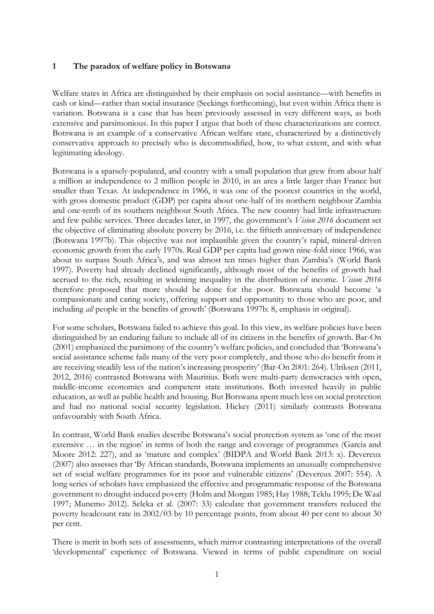### **1 The paradox of welfare policy in Botswana**

Welfare states in Africa are distinguished by their emphasis on social assistance—with benefits in cash or kind—rather than social insurance (Seekings forthcoming), but even within Africa there is variation. Botswana is a case that has been previously assessed in very different ways, as both extensive and parsimonious. In this paper I argue that both of these characterizations are correct. Botswana is an example of a conservative African welfare state, characterized by a distinctively conservative approach to precisely who is decommodified, how, to what extent, and with what legitimating ideology.

Botswana is a sparsely-populated, arid country with a small population that grew from about half a million at independence to 2 million people in 2010, in an area a little larger than France but smaller than Texas. At independence in 1966, it was one of the poorest countries in the world, with gross domestic product (GDP) per capita about one-half of its northern neighbour Zambia and one-tenth of its southern neighbour South Africa. The new country had little infrastructure and few public services. Three decades later, in 1997, the government's *Vision 2016* document set the objective of eliminating absolute poverty by 2016, i.e. the fiftieth anniversary of independence (Botswana 1997b). This objective was not implausible given the country's rapid, mineral-driven economic growth from the early 1970s. Real GDP per capita had grown nine-fold since 1966, was about to surpass South Africa's, and was almost ten times higher than Zambia's (World Bank 1997). Poverty had already declined significantly, although most of the benefits of growth had accrued to the rich, resulting in widening inequality in the distribution of income. *Vision 2016* therefore proposed that more should be done for the poor. Botswana should become 'a compassionate and caring society, offering support and opportunity to those who are poor, and including *all* people in the benefits of growth' (Botswana 1997b: 8, emphasis in original).

For some scholars, Botswana failed to achieve this goal. In this view, its welfare policies have been distinguished by an enduring failure to include all of its citizens in the benefits of growth. Bar-On (2001) emphasized the parsimony of the country's welfare policies, and concluded that 'Botswana's social assistance scheme fails many of the very poor completely, and those who do benefit from it are receiving steadily less of the nation's increasing prosperity' (Bar-On 2001: 264). Ulriksen (2011, 2012, 2016) contrasted Botswana with Mauritius. Both were multi-party democracies with open, middle-income economies and competent state institutions. Both invested heavily in public education, as well as public health and housing. But Botswana spent much less on social protection and had no national social security legislation. Hickey (2011) similarly contrasts Botswana unfavourably with South Africa.

In contrast, World Bank studies describe Botswana's social protection system as 'one of the most extensive … in the region' in terms of both the range and coverage of programmes (Garcia and Moore 2012: 227), and as 'mature and complex' (BIDPA and World Bank 2013: x). Devereux (2007) also assesses that 'By African standards, Botswana implements an unusually comprehensive set of social welfare programmes for its poor and vulnerable citizens' (Devereux 2007: 554). A long series of scholars have emphasized the effective and programmatic response of the Botswana government to drought-induced poverty (Holm and Morgan 1985; Hay 1988; Teklu 1995; De Waal 1997; Munemo 2012). Seleka et al. (2007: 33) calculate that government transfers reduced the poverty headcount rate in 2002/03 by 10 percentage points, from about 40 per cent to about 30 per cent.

There is merit in both sets of assessments, which mirror contrasting interpretations of the overall 'developmental' experience of Botswana. Viewed in terms of public expenditure on social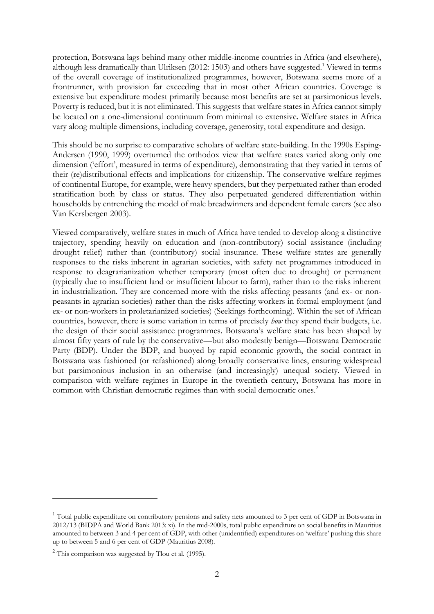protection, Botswana lags behind many other middle-income countries in Africa (and elsewhere), although less dramatically than Ulriksen (2012: 1503) and others have suggested.<sup>1</sup> Viewed in terms of the overall coverage of institutionalized programmes, however, Botswana seems more of a frontrunner, with provision far exceeding that in most other African countries. Coverage is extensive but expenditure modest primarily because most benefits are set at parsimonious levels. Poverty is reduced, but it is not eliminated. This suggests that welfare states in Africa cannot simply be located on a one-dimensional continuum from minimal to extensive. Welfare states in Africa vary along multiple dimensions, including coverage, generosity, total expenditure and design.

This should be no surprise to comparative scholars of welfare state-building. In the 1990s Esping-Andersen (1990, 1999) overturned the orthodox view that welfare states varied along only one dimension ('effort', measured in terms of expenditure), demonstrating that they varied in terms of their (re)distributional effects and implications for citizenship. The conservative welfare regimes of continental Europe, for example, were heavy spenders, but they perpetuated rather than eroded stratification both by class or status. They also perpetuated gendered differentiation within households by entrenching the model of male breadwinners and dependent female carers (see also Van Kersbergen 2003).

Viewed comparatively, welfare states in much of Africa have tended to develop along a distinctive trajectory, spending heavily on education and (non-contributory) social assistance (including drought relief) rather than (contributory) social insurance. These welfare states are generally responses to the risks inherent in agrarian societies, with safety net programmes introduced in response to deagrarianization whether temporary (most often due to drought) or permanent (typically due to insufficient land or insufficient labour to farm), rather than to the risks inherent in industrialization. They are concerned more with the risks affecting peasants (and ex- or nonpeasants in agrarian societies) rather than the risks affecting workers in formal employment (and ex- or non-workers in proletarianized societies) (Seekings forthcoming). Within the set of African countries, however, there is some variation in terms of precisely *how* they spend their budgets, i.e. the design of their social assistance programmes. Botswana's welfare state has been shaped by almost fifty years of rule by the conservative—but also modestly benign—Botswana Democratic Party (BDP). Under the BDP, and buoyed by rapid economic growth, the social contract in Botswana was fashioned (or refashioned) along broadly conservative lines, ensuring widespread but parsimonious inclusion in an otherwise (and increasingly) unequal society. Viewed in comparison with welfare regimes in Europe in the twentieth century, Botswana has more in common with Christian democratic regimes than with social democratic ones.<sup>2</sup>

<u>.</u>

<sup>&</sup>lt;sup>1</sup> Total public expenditure on contributory pensions and safety nets amounted to 3 per cent of GDP in Botswana in 2012/13 (BIDPA and World Bank 2013: xi). In the mid-2000s, total public expenditure on social benefits in Mauritius amounted to between 3 and 4 per cent of GDP, with other (unidentified) expenditures on 'welfare' pushing this share up to between 5 and 6 per cent of GDP (Mauritius 2008).

 $2$  This comparison was suggested by Tlou et al. (1995).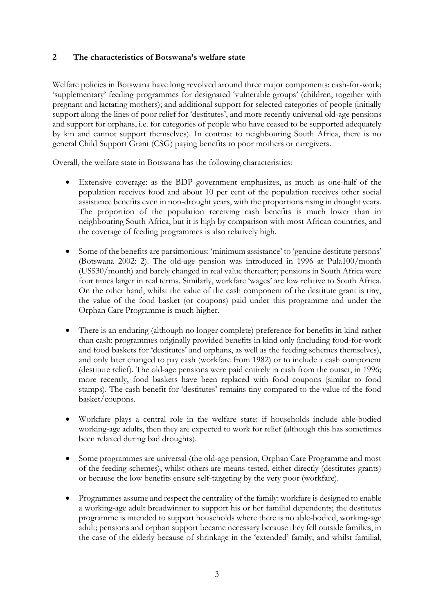### **2 The characteristics of Botswana's welfare state**

Welfare policies in Botswana have long revolved around three major components: cash-for-work; 'supplementary' feeding programmes for designated 'vulnerable groups' (children, together with pregnant and lactating mothers); and additional support for selected categories of people (initially support along the lines of poor relief for 'destitutes', and more recently universal old-age pensions and support for orphans, i.e. for categories of people who have ceased to be supported adequately by kin and cannot support themselves). In contrast to neighbouring South Africa, there is no general Child Support Grant (CSG) paying benefits to poor mothers or caregivers.

Overall, the welfare state in Botswana has the following characteristics:

- Extensive coverage: as the BDP government emphasizes, as much as one-half of the population receives food and about 10 per cent of the population receives other social assistance benefits even in non-drought years, with the proportions rising in drought years. The proportion of the population receiving cash benefits is much lower than in neighbouring South Africa, but it is high by comparison with most African countries, and the coverage of feeding programmes is also relatively high.
- Some of the benefits are parsimonious: 'minimum assistance' to 'genuine destitute persons' (Botswana 2002: 2). The old-age pension was introduced in 1996 at Pula100/month (US\$30/month) and barely changed in real value thereafter; pensions in South Africa were four times larger in real terms. Similarly, workfare 'wages' are low relative to South Africa. On the other hand, whilst the value of the cash component of the destitute grant is tiny, the value of the food basket (or coupons) paid under this programme and under the Orphan Care Programme is much higher.
- There is an enduring (although no longer complete) preference for benefits in kind rather than cash: programmes originally provided benefits in kind only (including food-for-work and food baskets for 'destitutes' and orphans, as well as the feeding schemes themselves), and only later changed to pay cash (workfare from 1982) or to include a cash component (destitute relief). The old-age pensions were paid entirely in cash from the outset, in 1996; more recently, food baskets have been replaced with food coupons (similar to food stamps). The cash benefit for 'destitutes' remains tiny compared to the value of the food basket/coupons.
- Workfare plays a central role in the welfare state: if households include able-bodied working-age adults, then they are expected to work for relief (although this has sometimes been relaxed during bad droughts).
- Some programmes are universal (the old-age pension, Orphan Care Programme and most of the feeding schemes), whilst others are means-tested, either directly (destitutes grants) or because the low benefits ensure self-targeting by the very poor (workfare).
- Programmes assume and respect the centrality of the family: workfare is designed to enable a working-age adult breadwinner to support his or her familial dependents; the destitutes programme is intended to support households where there is no able-bodied, working-age adult; pensions and orphan support became necessary because they fell outside families, in the case of the elderly because of shrinkage in the 'extended' family; and whilst familial,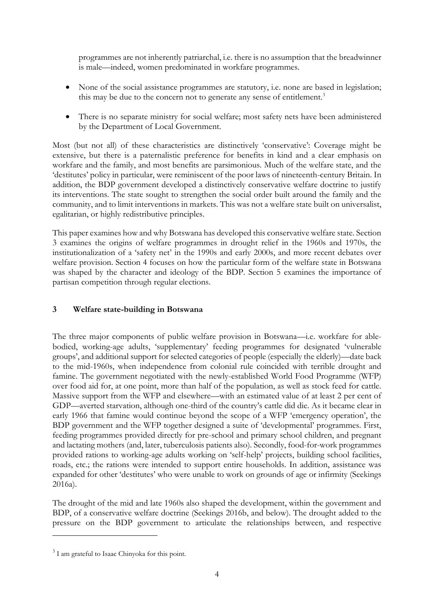programmes are not inherently patriarchal, i.e. there is no assumption that the breadwinner is male—indeed, women predominated in workfare programmes.

- None of the social assistance programmes are statutory, i.e. none are based in legislation; this may be due to the concern not to generate any sense of entitlement.<sup>3</sup>
- There is no separate ministry for social welfare; most safety nets have been administered by the Department of Local Government.

Most (but not all) of these characteristics are distinctively 'conservative': Coverage might be extensive, but there is a paternalistic preference for benefits in kind and a clear emphasis on workfare and the family, and most benefits are parsimonious. Much of the welfare state, and the 'destitutes' policy in particular, were reminiscent of the poor laws of nineteenth-century Britain. In addition, the BDP government developed a distinctively conservative welfare doctrine to justify its interventions. The state sought to strengthen the social order built around the family and the community, and to limit interventions in markets. This was not a welfare state built on universalist, egalitarian, or highly redistributive principles.

This paper examines how and why Botswana has developed this conservative welfare state. Section 3 examines the origins of welfare programmes in drought relief in the 1960s and 1970s, the institutionalization of a 'safety net' in the 1990s and early 2000s, and more recent debates over welfare provision. Section 4 focuses on how the particular form of the welfare state in Botswana was shaped by the character and ideology of the BDP. Section 5 examines the importance of partisan competition through regular elections.

# **3 Welfare state-building in Botswana**

The three major components of public welfare provision in Botswana—i.e. workfare for ablebodied, working-age adults, 'supplementary' feeding programmes for designated 'vulnerable groups', and additional support for selected categories of people (especially the elderly)—date back to the mid-1960s, when independence from colonial rule coincided with terrible drought and famine. The government negotiated with the newly-established World Food Programme (WFP) over food aid for, at one point, more than half of the population, as well as stock feed for cattle. Massive support from the WFP and elsewhere—with an estimated value of at least 2 per cent of GDP—averted starvation, although one-third of the country's cattle did die. As it became clear in early 1966 that famine would continue beyond the scope of a WFP 'emergency operation', the BDP government and the WFP together designed a suite of 'developmental' programmes. First, feeding programmes provided directly for pre-school and primary school children, and pregnant and lactating mothers (and, later, tuberculosis patients also). Secondly, food-for-work programmes provided rations to working-age adults working on 'self-help' projects, building school facilities, roads, etc.; the rations were intended to support entire households. In addition, assistance was expanded for other 'destitutes' who were unable to work on grounds of age or infirmity (Seekings 2016a).

The drought of the mid and late 1960s also shaped the development, within the government and BDP, of a conservative welfare doctrine (Seekings 2016b, and below). The drought added to the pressure on the BDP government to articulate the relationships between, and respective

<sup>&</sup>lt;sup>3</sup> I am grateful to Isaac Chinyoka for this point.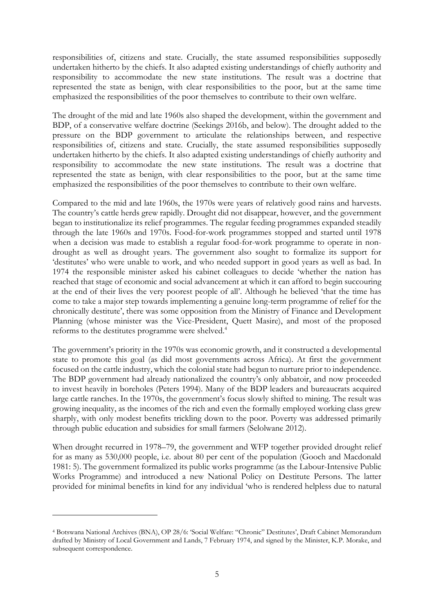responsibilities of, citizens and state. Crucially, the state assumed responsibilities supposedly undertaken hitherto by the chiefs. It also adapted existing understandings of chiefly authority and responsibility to accommodate the new state institutions. The result was a doctrine that represented the state as benign, with clear responsibilities to the poor, but at the same time emphasized the responsibilities of the poor themselves to contribute to their own welfare.

The drought of the mid and late 1960s also shaped the development, within the government and BDP, of a conservative welfare doctrine (Seekings 2016b, and below). The drought added to the pressure on the BDP government to articulate the relationships between, and respective responsibilities of, citizens and state. Crucially, the state assumed responsibilities supposedly undertaken hitherto by the chiefs. It also adapted existing understandings of chiefly authority and responsibility to accommodate the new state institutions. The result was a doctrine that represented the state as benign, with clear responsibilities to the poor, but at the same time emphasized the responsibilities of the poor themselves to contribute to their own welfare.

Compared to the mid and late 1960s, the 1970s were years of relatively good rains and harvests. The country's cattle herds grew rapidly. Drought did not disappear, however, and the government began to institutionalize its relief programmes. The regular feeding programmes expanded steadily through the late 1960s and 1970s. Food-for-work programmes stopped and started until 1978 when a decision was made to establish a regular food-for-work programme to operate in nondrought as well as drought years. The government also sought to formalize its support for 'destitutes' who were unable to work, and who needed support in good years as well as bad. In 1974 the responsible minister asked his cabinet colleagues to decide 'whether the nation has reached that stage of economic and social advancement at which it can afford to begin succouring at the end of their lives the very poorest people of all'. Although he believed 'that the time has come to take a major step towards implementing a genuine long-term programme of relief for the chronically destitute', there was some opposition from the Ministry of Finance and Development Planning (whose minister was the Vice-President, Quett Masire), and most of the proposed reforms to the destitutes programme were shelved.<sup>4</sup>

The government's priority in the 1970s was economic growth, and it constructed a developmental state to promote this goal (as did most governments across Africa). At first the government focused on the cattle industry, which the colonial state had begun to nurture prior to independence. The BDP government had already nationalized the country's only abbatoir, and now proceeded to invest heavily in boreholes (Peters 1994). Many of the BDP leaders and bureaucrats acquired large cattle ranches. In the 1970s, the government's focus slowly shifted to mining. The result was growing inequality, as the incomes of the rich and even the formally employed working class grew sharply, with only modest benefits trickling down to the poor. Poverty was addressed primarily through public education and subsidies for small farmers (Selolwane 2012).

When drought recurred in 1978–79, the government and WFP together provided drought relief for as many as 530,000 people, i.e. about 80 per cent of the population (Gooch and Macdonald 1981: 5). The government formalized its public works programme (as the Labour-Intensive Public Works Programme) and introduced a new National Policy on Destitute Persons. The latter provided for minimal benefits in kind for any individual 'who is rendered helpless due to natural

<u>.</u>

<sup>4</sup> Botswana National Archives (BNA), OP 28/6: 'Social Welfare: "Chronic" Destitutes', Draft Cabinet Memorandum drafted by Ministry of Local Government and Lands, 7 February 1974, and signed by the Minister, K.P. Morake, and subsequent correspondence.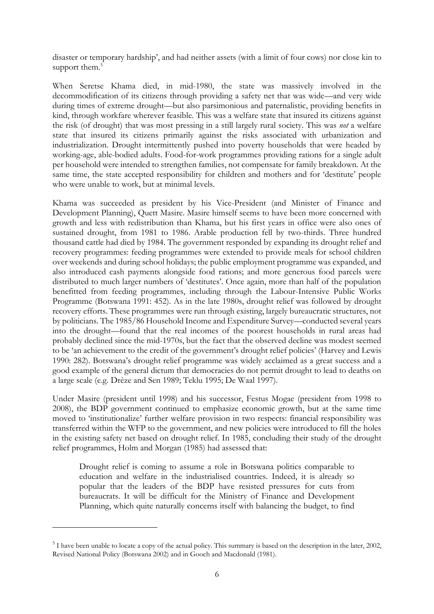disaster or temporary hardship', and had neither assets (with a limit of four cows) nor close kin to support them.<sup>5</sup>

When Seretse Khama died, in mid-1980, the state was massively involved in the decommodification of its citizens through providing a safety net that was wide—and very wide during times of extreme drought—but also parsimonious and paternalistic, providing benefits in kind, through workfare wherever feasible. This was a welfare state that insured its citizens against the risk (of drought) that was most pressing in a still largely rural society. This was *not* a welfare state that insured its citizens primarily against the risks associated with urbanization and industrialization. Drought intermittently pushed into poverty households that were headed by working-age, able-bodied adults. Food-for-work programmes providing rations for a single adult per household were intended to strengthen families, not compensate for family breakdown. At the same time, the state accepted responsibility for children and mothers and for 'destitute' people who were unable to work, but at minimal levels.

Khama was succeeded as president by his Vice-President (and Minister of Finance and Development Planning), Quett Masire. Masire himself seems to have been more concerned with growth and less with redistribution than Khama, but his first years in office were also ones of sustained drought, from 1981 to 1986. Arable production fell by two-thirds. Three hundred thousand cattle had died by 1984. The government responded by expanding its drought relief and recovery programmes: feeding programmes were extended to provide meals for school children over weekends and during school holidays; the public employment programme was expanded, and also introduced cash payments alongside food rations; and more generous food parcels were distributed to much larger numbers of 'destitutes'. Once again, more than half of the population benefitted from feeding programmes, including through the Labour-Intensive Public Works Programme (Botswana 1991: 452). As in the late 1980s, drought relief was followed by drought recovery efforts. These programmes were run through existing, largely bureaucratic structures, not by politicians. The 1985/86 Household Income and Expenditure Survey—conducted several years into the drought—found that the real incomes of the poorest households in rural areas had probably declined since the mid-1970s, but the fact that the observed decline was modest seemed to be 'an achievement to the credit of the government's drought relief policies' (Harvey and Lewis 1990: 282). Botswana's drought relief programme was widely acclaimed as a great success and a good example of the general dictum that democracies do not permit drought to lead to deaths on a large scale (e.g. Drèze and Sen 1989; Teklu 1995; De Waal 1997).

Under Masire (president until 1998) and his successor, Festus Mogae (president from 1998 to 2008), the BDP government continued to emphasize economic growth, but at the same time moved to 'institutionalize' further welfare provision in two respects: financial responsibility was transferred within the WFP to the government, and new policies were introduced to fill the holes in the existing safety net based on drought relief. In 1985, concluding their study of the drought relief programmes, Holm and Morgan (1985) had assessed that:

Drought relief is coming to assume a role in Botswana politics comparable to education and welfare in the industrialised countries. Indeed, it is already so popular that the leaders of the BDP have resisted pressures for cuts from bureaucrats. It will be difficult for the Ministry of Finance and Development Planning, which quite naturally concerns itself with balancing the budget, to find

 $<sup>5</sup>$  I have been unable to locate a copy of the actual policy. This summary is based on the description in the later, 2002,</sup> Revised National Policy (Botswana 2002) and in Gooch and Macdonald (1981).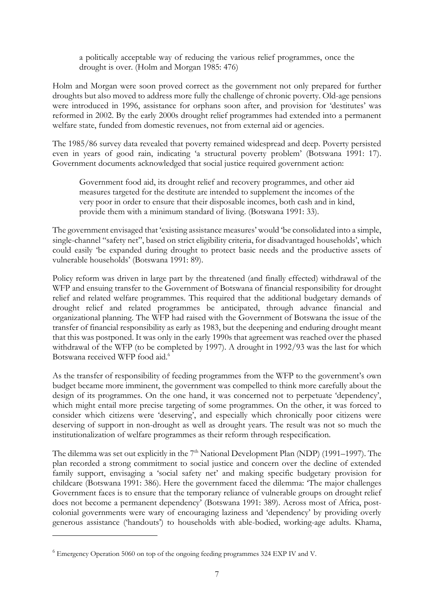a politically acceptable way of reducing the various relief programmes, once the drought is over. (Holm and Morgan 1985: 476)

Holm and Morgan were soon proved correct as the government not only prepared for further droughts but also moved to address more fully the challenge of chronic poverty. Old-age pensions were introduced in 1996, assistance for orphans soon after, and provision for 'destitutes' was reformed in 2002. By the early 2000s drought relief programmes had extended into a permanent welfare state, funded from domestic revenues, not from external aid or agencies.

The 1985/86 survey data revealed that poverty remained widespread and deep. Poverty persisted even in years of good rain, indicating 'a structural poverty problem' (Botswana 1991: 17). Government documents acknowledged that social justice required government action:

Government food aid, its drought relief and recovery programmes, and other aid measures targeted for the destitute are intended to supplement the incomes of the very poor in order to ensure that their disposable incomes, both cash and in kind, provide them with a minimum standard of living. (Botswana 1991: 33).

The government envisaged that 'existing assistance measures' would 'be consolidated into a simple, single-channel "safety net", based on strict eligibility criteria, for disadvantaged households', which could easily 'be expanded during drought to protect basic needs and the productive assets of vulnerable households' (Botswana 1991: 89).

Policy reform was driven in large part by the threatened (and finally effected) withdrawal of the WFP and ensuing transfer to the Government of Botswana of financial responsibility for drought relief and related welfare programmes. This required that the additional budgetary demands of drought relief and related programmes be anticipated, through advance financial and organizational planning. The WFP had raised with the Government of Botswana the issue of the transfer of financial responsibility as early as 1983, but the deepening and enduring drought meant that this was postponed. It was only in the early 1990s that agreement was reached over the phased withdrawal of the WFP (to be completed by 1997). A drought in 1992/93 was the last for which Botswana received WFP food aid.<sup>6</sup>

As the transfer of responsibility of feeding programmes from the WFP to the government's own budget became more imminent, the government was compelled to think more carefully about the design of its programmes. On the one hand, it was concerned not to perpetuate 'dependency', which might entail more precise targeting of some programmes. On the other, it was forced to consider which citizens were 'deserving', and especially which chronically poor citizens were deserving of support in non-drought as well as drought years. The result was not so much the institutionalization of welfare programmes as their reform through respecification.

The dilemma was set out explicitly in the 7<sup>th</sup> National Development Plan (NDP) (1991–1997). The plan recorded a strong commitment to social justice and concern over the decline of extended family support, envisaging a 'social safety net' and making specific budgetary provision for childcare (Botswana 1991: 386). Here the government faced the dilemma: 'The major challenges Government faces is to ensure that the temporary reliance of vulnerable groups on drought relief does not become a permanent dependency' (Botswana 1991: 389). Across most of Africa, postcolonial governments were wary of encouraging laziness and 'dependency' by providing overly generous assistance ('handouts') to households with able-bodied, working-age adults. Khama,

<sup>6</sup> Emergency Operation 5060 on top of the ongoing feeding programmes 324 EXP IV and V.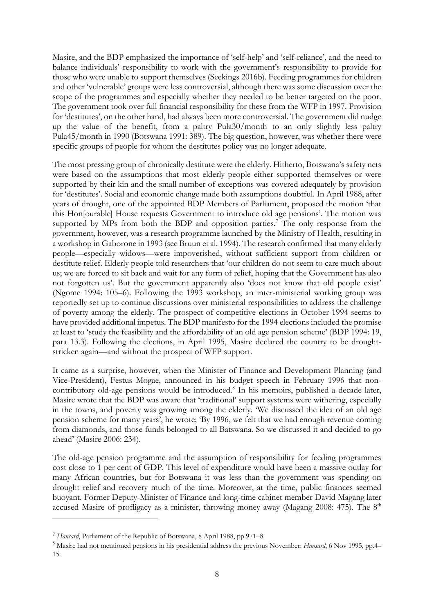Masire, and the BDP emphasized the importance of 'self-help' and 'self-reliance', and the need to balance individuals' responsibility to work with the government's responsibility to provide for those who were unable to support themselves (Seekings 2016b). Feeding programmes for children and other 'vulnerable' groups were less controversial, although there was some discussion over the scope of the programmes and especially whether they needed to be better targeted on the poor. The government took over full financial responsibility for these from the WFP in 1997. Provision for 'destitutes', on the other hand, had always been more controversial. The government did nudge up the value of the benefit, from a paltry Pula30/month to an only slightly less paltry Pula45/month in 1990 (Botswana 1991: 389). The big question, however, was whether there were specific groups of people for whom the destitutes policy was no longer adequate.

The most pressing group of chronically destitute were the elderly. Hitherto, Botswana's safety nets were based on the assumptions that most elderly people either supported themselves or were supported by their kin and the small number of exceptions was covered adequately by provision for 'destitutes'. Social and economic change made both assumptions doubtful. In April 1988, after years of drought, one of the appointed BDP Members of Parliament, proposed the motion 'that this Hon[ourable] House requests Government to introduce old age pensions'. The motion was supported by MPs from both the BDP and opposition parties.<sup>7</sup> The only response from the government, however, was a research programme launched by the Ministry of Health, resulting in a workshop in Gaborone in 1993 (see Bruun et al. 1994). The research confirmed that many elderly people—especially widows—were impoverished, without sufficient support from children or destitute relief. Elderly people told researchers that 'our children do not seem to care much about us; we are forced to sit back and wait for any form of relief, hoping that the Government has also not forgotten us'. But the government apparently also 'does not know that old people exist' (Ngome 1994: 105–6). Following the 1993 workshop, an inter-ministerial working group was reportedly set up to continue discussions over ministerial responsibilities to address the challenge of poverty among the elderly. The prospect of competitive elections in October 1994 seems to have provided additional impetus. The BDP manifesto for the 1994 elections included the promise at least to 'study the feasibility and the affordability of an old age pension scheme' (BDP 1994: 19, para 13.3). Following the elections, in April 1995, Masire declared the country to be droughtstricken again—and without the prospect of WFP support.

It came as a surprise, however, when the Minister of Finance and Development Planning (and Vice-President), Festus Mogae, announced in his budget speech in February 1996 that noncontributory old-age pensions would be introduced.<sup>8</sup> In his memoirs, published a decade later, Masire wrote that the BDP was aware that 'traditional' support systems were withering, especially in the towns, and poverty was growing among the elderly. 'We discussed the idea of an old age pension scheme for many years', he wrote; 'By 1996, we felt that we had enough revenue coming from diamonds, and those funds belonged to all Batswana. So we discussed it and decided to go ahead' (Masire 2006: 234).

The old-age pension programme and the assumption of responsibility for feeding programmes cost close to 1 per cent of GDP. This level of expenditure would have been a massive outlay for many African countries, but for Botswana it was less than the government was spending on drought relief and recovery much of the time. Moreover, at the time, public finances seemed buoyant. Former Deputy-Minister of Finance and long-time cabinet member David Magang later accused Masire of profligacy as a minister, throwing money away (Magang 2008: 475). The  $8<sup>th</sup>$ 

<sup>7</sup> *Hansard*, Parliament of the Republic of Botswana, 8 April 1988, pp.971–8.

<sup>8</sup> Masire had not mentioned pensions in his presidential address the previous November: *Hansard*, 6 Nov 1995, pp.4– 15.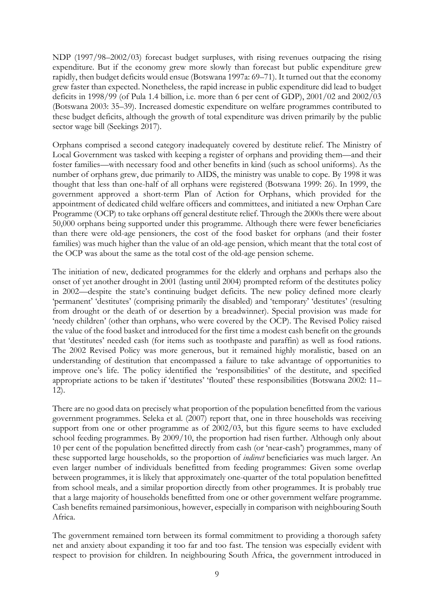NDP (1997/98–2002/03) forecast budget surpluses, with rising revenues outpacing the rising expenditure. But if the economy grew more slowly than forecast but public expenditure grew rapidly, then budget deficits would ensue (Botswana 1997a: 69–71). It turned out that the economy grew faster than expected. Nonetheless, the rapid increase in public expenditure did lead to budget deficits in 1998/99 (of Pula 1.4 billion, i.e. more than 6 per cent of GDP), 2001/02 and 2002/03 (Botswana 2003: 35–39). Increased domestic expenditure on welfare programmes contributed to these budget deficits, although the growth of total expenditure was driven primarily by the public sector wage bill (Seekings 2017).

Orphans comprised a second category inadequately covered by destitute relief. The Ministry of Local Government was tasked with keeping a register of orphans and providing them—and their foster families—with necessary food and other benefits in kind (such as school uniforms). As the number of orphans grew, due primarily to AIDS, the ministry was unable to cope. By 1998 it was thought that less than one-half of all orphans were registered (Botswana 1999: 26). In 1999, the government approved a short-term Plan of Action for Orphans, which provided for the appointment of dedicated child welfare officers and committees, and initiated a new Orphan Care Programme (OCP) to take orphans off general destitute relief. Through the 2000s there were about 50,000 orphans being supported under this programme. Although there were fewer beneficiaries than there were old-age pensioners, the cost of the food basket for orphans (and their foster families) was much higher than the value of an old-age pension, which meant that the total cost of the OCP was about the same as the total cost of the old-age pension scheme.

The initiation of new, dedicated programmes for the elderly and orphans and perhaps also the onset of yet another drought in 2001 (lasting until 2004) prompted reform of the destitutes policy in 2002—despite the state's continuing budget deficits. The new policy defined more clearly 'permanent' 'destitutes' (comprising primarily the disabled) and 'temporary' 'destitutes' (resulting from drought or the death of or desertion by a breadwinner). Special provision was made for 'needy children' (other than orphans, who were covered by the OCP). The Revised Policy raised the value of the food basket and introduced for the first time a modest cash benefit on the grounds that 'destitutes' needed cash (for items such as toothpaste and paraffin) as well as food rations. The 2002 Revised Policy was more generous, but it remained highly moralistic, based on an understanding of destitution that encompassed a failure to take advantage of opportunities to improve one's life. The policy identified the 'responsibilities' of the destitute, and specified appropriate actions to be taken if 'destitutes' 'flouted' these responsibilities (Botswana 2002: 11– 12).

There are no good data on precisely what proportion of the population benefitted from the various government programmes. Seleka et al. (2007) report that, one in three households was receiving support from one or other programme as of 2002/03, but this figure seems to have excluded school feeding programmes. By 2009/10, the proportion had risen further. Although only about 10 per cent of the population benefitted directly from cash (or 'near-cash') programmes, many of these supported large households, so the proportion of *indirect* beneficiaries was much larger. An even larger number of individuals benefitted from feeding programmes: Given some overlap between programmes, it is likely that approximately one-quarter of the total population benefitted from school meals, and a similar proportion directly from other programmes. It is probably true that a large majority of households benefitted from one or other government welfare programme. Cash benefits remained parsimonious, however, especially in comparison with neighbouring South Africa.

The government remained torn between its formal commitment to providing a thorough safety net and anxiety about expanding it too far and too fast. The tension was especially evident with respect to provision for children. In neighbouring South Africa, the government introduced in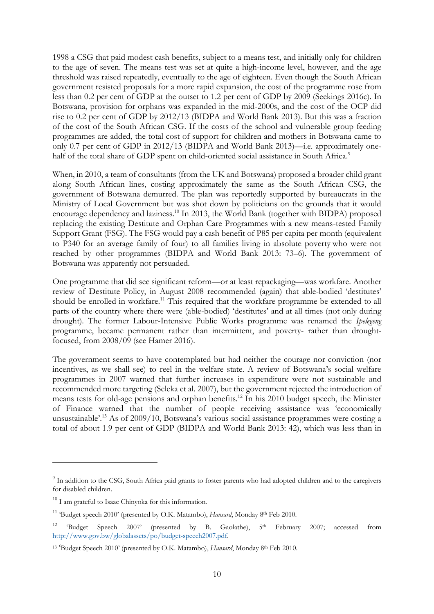1998 a CSG that paid modest cash benefits, subject to a means test, and initially only for children to the age of seven. The means test was set at quite a high-income level, however, and the age threshold was raised repeatedly, eventually to the age of eighteen. Even though the South African government resisted proposals for a more rapid expansion, the cost of the programme rose from less than 0.2 per cent of GDP at the outset to 1.2 per cent of GDP by 2009 (Seekings 2016c). In Botswana, provision for orphans was expanded in the mid-2000s, and the cost of the OCP did rise to 0.2 per cent of GDP by 2012/13 (BIDPA and World Bank 2013). But this was a fraction of the cost of the South African CSG. If the costs of the school and vulnerable group feeding programmes are added, the total cost of support for children and mothers in Botswana came to only 0.7 per cent of GDP in 2012/13 (BIDPA and World Bank 2013)—i.e. approximately onehalf of the total share of GDP spent on child-oriented social assistance in South Africa.<sup>9</sup>

When, in 2010, a team of consultants (from the UK and Botswana) proposed a broader child grant along South African lines, costing approximately the same as the South African CSG, the government of Botswana demurred. The plan was reportedly supported by bureaucrats in the Ministry of Local Government but was shot down by politicians on the grounds that it would encourage dependency and laziness.<sup>10</sup> In 2013, the World Bank (together with BIDPA) proposed replacing the existing Destitute and Orphan Care Programmes with a new means-tested Family Support Grant (FSG). The FSG would pay a cash benefit of P85 per capita per month (equivalent to P340 for an average family of four) to all families living in absolute poverty who were not reached by other programmes (BIDPA and World Bank 2013: 73–6). The government of Botswana was apparently not persuaded.

One programme that did see significant reform—or at least repackaging—was workfare. Another review of Destitute Policy, in August 2008 recommended (again) that able-bodied 'destitutes' should be enrolled in workfare.<sup>11</sup> This required that the workfare programme be extended to all parts of the country where there were (able-bodied) 'destitutes' and at all times (not only during drought). The former Labour-Intensive Public Works programme was renamed the *Ipelegeng* programme, became permanent rather than intermittent, and poverty- rather than droughtfocused, from 2008/09 (see Hamer 2016).

The government seems to have contemplated but had neither the courage nor conviction (nor incentives, as we shall see) to reel in the welfare state. A review of Botswana's social welfare programmes in 2007 warned that further increases in expenditure were not sustainable and recommended more targeting (Seleka et al. 2007), but the government rejected the introduction of means tests for old-age pensions and orphan benefits.<sup>12</sup> In his 2010 budget speech, the Minister of Finance warned that the number of people receiving assistance was 'economically unsustainable'.<sup>13</sup> As of 2009/10, Botswana's various social assistance programmes were costing a total of about 1.9 per cent of GDP (BIDPA and World Bank 2013: 42), which was less than in

<sup>&</sup>lt;sup>9</sup> In addition to the CSG, South Africa paid grants to foster parents who had adopted children and to the caregivers for disabled children.

<sup>&</sup>lt;sup>10</sup> I am grateful to Isaac Chinyoka for this information.

<sup>&</sup>lt;sup>11</sup> 'Budget speech 2010' (presented by O.K. Matambo), *Hansard*, Monday 8<sup>th</sup> Feb 2010.

<sup>&</sup>lt;sup>12</sup> 'Budget Speech 2007' (presented by B. Gaolathe),  $5<sup>th</sup>$  February 2007; accessed from [http://www.gov.bw/globalassets/po/budget-speech2007.pdf.](http://www.gov.bw/globalassets/po/budget-speech2007.pdf) 

<sup>&</sup>lt;sup>13</sup> 'Budget Speech 2010' (presented by O.K. Matambo), *Hansard*, Monday 8<sup>th</sup> Feb 2010.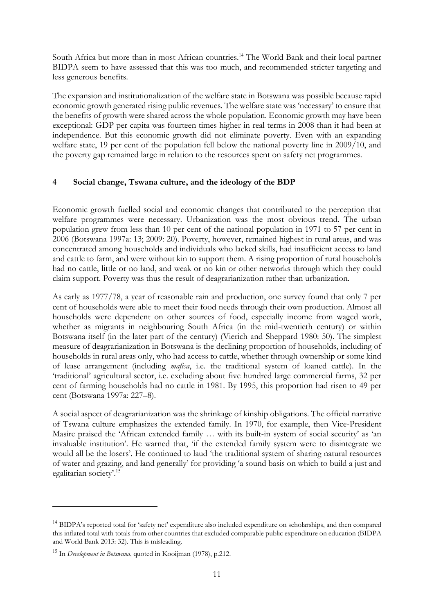South Africa but more than in most African countries.<sup>14</sup> The World Bank and their local partner BIDPA seem to have assessed that this was too much, and recommended stricter targeting and less generous benefits.

The expansion and institutionalization of the welfare state in Botswana was possible because rapid economic growth generated rising public revenues. The welfare state was 'necessary' to ensure that the benefits of growth were shared across the whole population. Economic growth may have been exceptional: GDP per capita was fourteen times higher in real terms in 2008 than it had been at independence. But this economic growth did not eliminate poverty. Even with an expanding welfare state, 19 per cent of the population fell below the national poverty line in 2009/10, and the poverty gap remained large in relation to the resources spent on safety net programmes.

## **4 Social change, Tswana culture, and the ideology of the BDP**

Economic growth fuelled social and economic changes that contributed to the perception that welfare programmes were necessary. Urbanization was the most obvious trend. The urban population grew from less than 10 per cent of the national population in 1971 to 57 per cent in 2006 (Botswana 1997a: 13; 2009: 20). Poverty, however, remained highest in rural areas, and was concentrated among households and individuals who lacked skills, had insufficient access to land and cattle to farm, and were without kin to support them. A rising proportion of rural households had no cattle, little or no land, and weak or no kin or other networks through which they could claim support. Poverty was thus the result of deagrarianization rather than urbanization.

As early as 1977/78, a year of reasonable rain and production, one survey found that only 7 per cent of households were able to meet their food needs through their own production. Almost all households were dependent on other sources of food, especially income from waged work, whether as migrants in neighbouring South Africa (in the mid-twentieth century) or within Botswana itself (in the later part of the century) (Vierich and Sheppard 1980: 50). The simplest measure of deagrarianization in Botswana is the declining proportion of households, including of households in rural areas only, who had access to cattle, whether through ownership or some kind of lease arrangement (including *mafisa*, i.e. the traditional system of loaned cattle). In the 'traditional' agricultural sector, i.e. excluding about five hundred large commercial farms, 32 per cent of farming households had no cattle in 1981. By 1995, this proportion had risen to 49 per cent (Botswana 1997a: 227–8).

A social aspect of deagrarianization was the shrinkage of kinship obligations. The official narrative of Tswana culture emphasizes the extended family. In 1970, for example, then Vice-President Masire praised the 'African extended family … with its built-in system of social security' as 'an invaluable institution'. He warned that, 'if the extended family system were to disintegrate we would all be the losers'. He continued to laud 'the traditional system of sharing natural resources of water and grazing, and land generally' for providing 'a sound basis on which to build a just and egalitarian society'.<sup>15</sup>

<u>.</u>

<sup>&</sup>lt;sup>14</sup> BIDPA's reported total for 'safety net' expenditure also included expenditure on scholarships, and then compared this inflated total with totals from other countries that excluded comparable public expenditure on education (BIDPA and World Bank 2013: 32). This is misleading.

<sup>15</sup> In *Development in Botswana*, quoted in Kooijman (1978), p.212.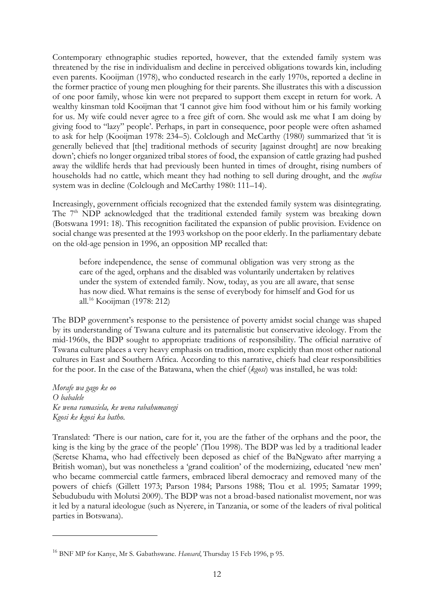Contemporary ethnographic studies reported, however, that the extended family system was threatened by the rise in individualism and decline in perceived obligations towards kin, including even parents. Kooijman (1978), who conducted research in the early 1970s, reported a decline in the former practice of young men ploughing for their parents. She illustrates this with a discussion of one poor family, whose kin were not prepared to support them except in return for work. A wealthy kinsman told Kooijman that 'I cannot give him food without him or his family working for us. My wife could never agree to a free gift of corn. She would ask me what I am doing by giving food to "lazy" people'. Perhaps, in part in consequence, poor people were often ashamed to ask for help (Kooijman 1978: 234–5). Colclough and McCarthy (1980) summarized that 'it is generally believed that [the] traditional methods of security [against drought] are now breaking down'; chiefs no longer organized tribal stores of food, the expansion of cattle grazing had pushed away the wildlife herds that had previously been hunted in times of drought, rising numbers of households had no cattle, which meant they had nothing to sell during drought, and the *mafisa* system was in decline (Colclough and McCarthy 1980: 111–14).

Increasingly, government officials recognized that the extended family system was disintegrating. The 7<sup>th</sup> NDP acknowledged that the traditional extended family system was breaking down (Botswana 1991: 18). This recognition facilitated the expansion of public provision. Evidence on social change was presented at the 1993 workshop on the poor elderly. In the parliamentary debate on the old-age pension in 1996, an opposition MP recalled that:

before independence, the sense of communal obligation was very strong as the care of the aged, orphans and the disabled was voluntarily undertaken by relatives under the system of extended family. Now, today, as you are all aware, that sense has now died. What remains is the sense of everybody for himself and God for us all. <sup>16</sup> Kooijman (1978: 212)

The BDP government's response to the persistence of poverty amidst social change was shaped by its understanding of Tswana culture and its paternalistic but conservative ideology. From the mid-1960s, the BDP sought to appropriate traditions of responsibility. The official narrative of Tswana culture places a very heavy emphasis on tradition, more explicitly than most other national cultures in East and Southern Africa. According to this narrative, chiefs had clear responsibilities for the poor. In the case of the Batawana, when the chief (*kgosi*) was installed, he was told:

*Morafe wa gago ke oo O babalele Ke wena ramasiela, ke wena rabahumanegi Kgosi ke kgosi ka batho*.

-

Translated: 'There is our nation, care for it, you are the father of the orphans and the poor, the king is the king by the grace of the people' (Tlou 1998). The BDP was led by a traditional leader (Seretse Khama, who had effectively been deposed as chief of the BaNgwato after marrying a British woman), but was nonetheless a 'grand coalition' of the modernizing, educated 'new men' who became commercial cattle farmers, embraced liberal democracy and removed many of the powers of chiefs (Gillett 1973; Parson 1984; Parsons 1988; Tlou et al. 1995; Samatar 1999; Sebudubudu with Molutsi 2009). The BDP was not a broad-based nationalist movement, nor was it led by a natural ideologue (such as Nyerere, in Tanzania, or some of the leaders of rival political parties in Botswana).

<sup>16</sup> BNF MP for Kanye, Mr S. Gabathswane. *Hansard*, Thursday 15 Feb 1996, p 95.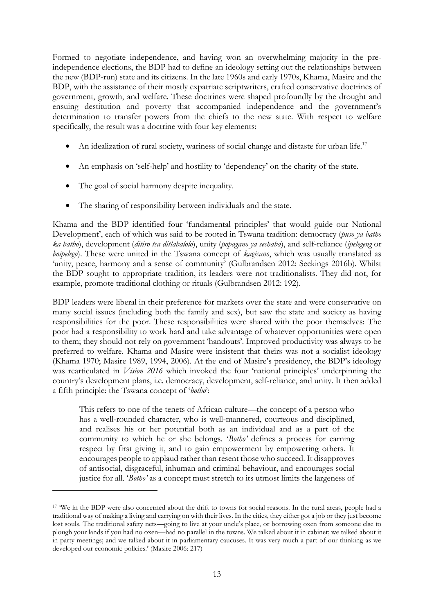Formed to negotiate independence, and having won an overwhelming majority in the preindependence elections, the BDP had to define an ideology setting out the relationships between the new (BDP-run) state and its citizens. In the late 1960s and early 1970s, Khama, Masire and the BDP, with the assistance of their mostly expatriate scriptwriters, crafted conservative doctrines of government, growth, and welfare. These doctrines were shaped profoundly by the drought and ensuing destitution and poverty that accompanied independence and the government's determination to transfer powers from the chiefs to the new state. With respect to welfare specifically, the result was a doctrine with four key elements:

- An idealization of rural society, wariness of social change and distaste for urban life.<sup>17</sup>
- An emphasis on 'self-help' and hostility to 'dependency' on the charity of the state.
- The goal of social harmony despite inequality.

<u>.</u>

• The sharing of responsibility between individuals and the state.

Khama and the BDP identified four 'fundamental principles' that would guide our National Development', each of which was said to be rooted in Tswana tradition: democracy (*puso ya batho ka batho*), development (*ditiro tsa ditlabalolo*), unity (*popagano ya sechaba*), and self-reliance (*ipelegeng* or *boipelego*). These were united in the Tswana concept of *kagisano*, which was usually translated as 'unity, peace, harmony and a sense of community' (Gulbrandsen 2012; Seekings 2016b). Whilst the BDP sought to appropriate tradition, its leaders were not traditionalists. They did not, for example, promote traditional clothing or rituals (Gulbrandsen 2012: 192).

BDP leaders were liberal in their preference for markets over the state and were conservative on many social issues (including both the family and sex), but saw the state and society as having responsibilities for the poor. These responsibilities were shared with the poor themselves: The poor had a responsibility to work hard and take advantage of whatever opportunities were open to them; they should not rely on government 'handouts'. Improved productivity was always to be preferred to welfare. Khama and Masire were insistent that theirs was not a socialist ideology (Khama 1970; Masire 1989, 1994, 2006). At the end of Masire's presidency, the BDP's ideology was rearticulated in *Vision 2016* which invoked the four 'national principles' underpinning the country's development plans, i.e. democracy, development, self-reliance, and unity. It then added a fifth principle: the Tswana concept of '*botho*':

This refers to one of the tenets of African culture—the concept of a person who has a well-rounded character, who is well-mannered, courteous and disciplined, and realises his or her potential both as an individual and as a part of the community to which he or she belongs. '*Botho'* defines a process for earning respect by first giving it, and to gain empowerment by empowering others. It encourages people to applaud rather than resent those who succeed. It disapproves of antisocial, disgraceful, inhuman and criminal behaviour, and encourages social justice for all. '*Botho'* as a concept must stretch to its utmost limits the largeness of

<sup>&</sup>lt;sup>17</sup> We in the BDP were also concerned about the drift to towns for social reasons. In the rural areas, people had a traditional way of making a living and carrying on with their lives. In the cities, they either got a job or they just become lost souls. The traditional safety nets—going to live at your uncle's place, or borrowing oxen from someone else to plough your lands if you had no oxen—had no parallel in the towns. We talked about it in cabinet; we talked about it in party meetings; and we talked about it in parliamentary caucuses. It was very much a part of our thinking as we developed our economic policies.' (Masire 2006: 217)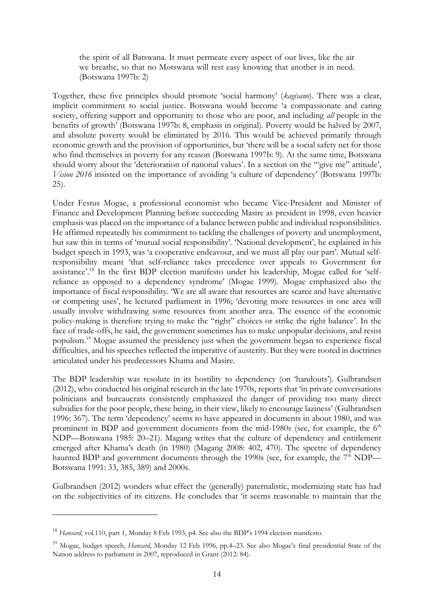the spirit of all Batswana. It must permeate every aspect of our lives, like the air we breathe, so that no Motswana will rest easy knowing that another is in need. (Botswana 1997b: 2)

Together, these five principles should promote 'social harmony' (*kagisano*). There was a clear, implicit commitment to social justice. Botswana would become 'a compassionate and caring society, offering support and opportunity to those who are poor, and including *all* people in the benefits of growth' (Botswana 1997b: 8, emphasis in original). Poverty would be halved by 2007, and absolute poverty would be eliminated by 2016. This would be achieved primarily through economic growth and the provision of opportunities, but 'there will be a social safety net for those who find themselves in poverty for any reason (Botswana 1997b: 9). At the same time, Botswana should worry about the 'deterioration of national values'. In a section on the '"give me" attitude', *Vision 2016* insisted on the importance of avoiding 'a culture of dependency' (Botswana 1997b: 25).

Under Festus Mogae, a professional economist who became Vice-President and Minister of Finance and Development Planning before succeeding Masire as president in 1998, even heavier emphasis was placed on the importance of a balance between public and individual responsibilities. He affirmed repeatedly his commitment to tackling the challenges of poverty and unemployment, but saw this in terms of 'mutual social responsibility'. 'National development', he explained in his budget speech in 1993, was 'a cooperative endeavour, and we must all play our part'. Mutual selfresponsibility meant 'that self-reliance takes precedence over appeals to Government for assistance'.<sup>18</sup> In the first BDP election manifesto under his leadership, Mogae called for 'selfreliance as opposed to a dependency syndrome' (Mogae 1999). Mogae emphasized also the importance of fiscal responsibility. 'We are all aware that resources are scarce and have alternative or competing uses', he lectured parliament in 1996; 'devoting more resources in one area will usually involve withdrawing some resources from another area. The essence of the economic policy-making is therefore trying to make the "right" choices or strike the right balance'. In the face of trade-offs, he said, the government sometimes has to make unpopular decisions, and resist populism. <sup>19</sup> Mogae assumed the presidency just when the government began to experience fiscal difficulties, and his speeches reflected the imperative of austerity. But they were rooted in doctrines articulated under his predecessors Khama and Masire.

The BDP leadership was resolute in its hostility to dependency (on 'handouts'). Gulbrandsen (2012), who conducted his original research in the late 1970s, reports that 'in private conversations politicians and bureaucrats consistently emphasized the danger of providing too many direct subsidies for the poor people, these being, in their view, likely to encourage laziness' (Gulbrandsen 1996: 367). The term 'dependency' seems to have appeared in documents in about 1980, and was prominent in BDP and government documents from the mid-1980s (see, for example, the  $6<sup>th</sup>$ NDP—Botswana 1985: 20–21). Magang writes that the culture of dependency and entitlement emerged after Khama's death (in 1980) (Magang 2008: 402, 470). The spectre of dependency haunted BDP and government documents through the 1990s (see, for example, the  $7<sup>th</sup>$  NDP— Botswana 1991: 33, 385, 389) and 2000s.

Gulbrandsen (2012) wonders what effect the (generally) paternalistic, modernizing state has had on the subjectivities of its citizens. He concludes that 'it seems reasonable to maintain that the

<u>.</u>

<sup>&</sup>lt;sup>18</sup> *Hansard*, vol.110, part 1, Monday 8 Feb 1993, p4. See also the BDP's 1994 election manifesto.

<sup>19</sup> Mogae, budget speech, *Hansard*, Monday 12 Feb 1996, pp.4–23. See also Mogae's final presidential State of the Nation address to parliament in 2007, reproduced in Grant (2012: 84).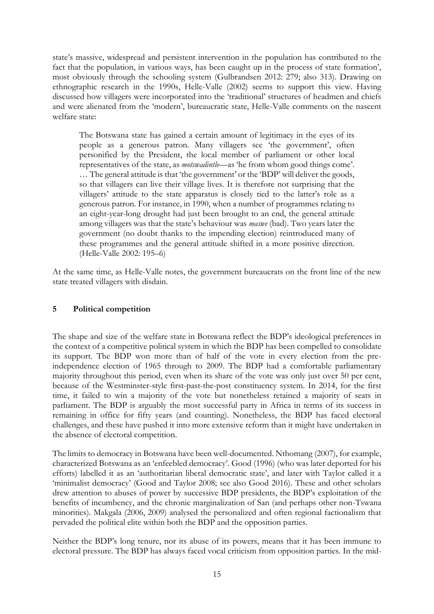state's massive, widespread and persistent intervention in the population has contributed to the fact that the population, in various ways, has been caught up in the process of state formation', most obviously through the schooling system (Gulbrandsen 2012: 279; also 313). Drawing on ethnographic research in the 1990s, Helle-Valle (2002) seems to support this view. Having discussed how villagers were incorporated into the 'traditional' structures of headmen and chiefs and were alienated from the 'modern', bureaucratic state, Helle-Valle comments on the nascent welfare state:

The Botswana state has gained a certain amount of legitimacy in the eyes of its people as a generous patron. Many villagers see 'the government', often personified by the President, the local member of parliament or other local representatives of the state, as *motswadintle—*as 'he from whom good things come'. … The general attitude is that 'the government' or the 'BDP' will deliver the goods, so that villagers can live their village lives. It is therefore not surprising that the villagers' attitude to the state apparatus is closely tied to the latter's role as a generous patron. For instance, in 1990, when a number of programmes relating to an eight-year-long drought had just been brought to an end, the general attitude among villagers was that the state's behaviour was *maswe* (bad). Two years later the government (no doubt thanks to the impending election) reintroduced many of these programmes and the general attitude shifted in a more positive direction. (Helle-Valle 2002: 195–6)

At the same time, as Helle-Valle notes, the government bureaucrats on the front line of the new state treated villagers with disdain.

### **5 Political competition**

The shape and size of the welfare state in Botswana reflect the BDP's ideological preferences in the context of a competitive political system in which the BDP has been compelled to consolidate its support. The BDP won more than of half of the vote in every election from the preindependence election of 1965 through to 2009. The BDP had a comfortable parliamentary majority throughout this period, even when its share of the vote was only just over 50 per cent, because of the Westminster-style first-past-the-post constituency system. In 2014, for the first time, it failed to win a majority of the vote but nonetheless retained a majority of seats in parliament. The BDP is arguably the most successful party in Africa in terms of its success in remaining in office for fifty years (and counting). Nonetheless, the BDP has faced electoral challenges, and these have pushed it into more extensive reform than it might have undertaken in the absence of electoral competition.

The limits to democracy in Botswana have been well-documented. Nthomang (2007), for example, characterized Botswana as an 'enfeebled democracy'. Good (1996) (who was later deported for his efforts) labelled it as an 'authoritarian liberal democratic state', and later with Taylor called it a 'minimalist democracy' (Good and Taylor 2008; see also Good 2016). These and other scholars drew attention to abuses of power by successive BDP presidents, the BDP's exploitation of the benefits of incumbency, and the chronic marginalization of San (and perhaps other non-Tswana minorities). Makgala (2006, 2009) analysed the personalized and often regional factionalism that pervaded the political elite within both the BDP and the opposition parties.

Neither the BDP's long tenure, nor its abuse of its powers, means that it has been immune to electoral pressure. The BDP has always faced vocal criticism from opposition parties. In the mid-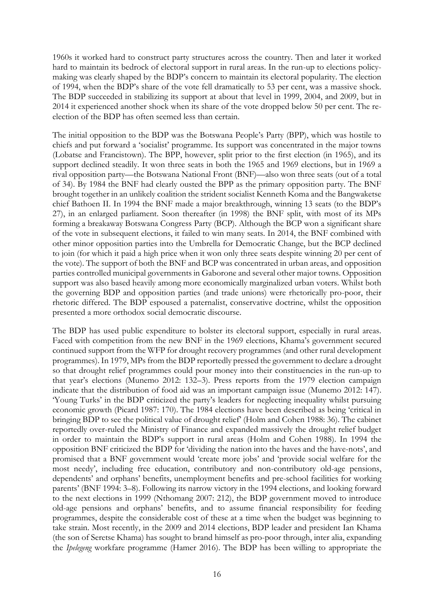1960s it worked hard to construct party structures across the country. Then and later it worked hard to maintain its bedrock of electoral support in rural areas. In the run-up to elections policymaking was clearly shaped by the BDP's concern to maintain its electoral popularity. The election of 1994, when the BDP's share of the vote fell dramatically to 53 per cent, was a massive shock. The BDP succeeded in stabilizing its support at about that level in 1999, 2004, and 2009, but in 2014 it experienced another shock when its share of the vote dropped below 50 per cent. The reelection of the BDP has often seemed less than certain.

The initial opposition to the BDP was the Botswana People's Party (BPP), which was hostile to chiefs and put forward a 'socialist' programme. Its support was concentrated in the major towns (Lobatse and Francistown). The BPP, however, split prior to the first election (in 1965), and its support declined steadily. It won three seats in both the 1965 and 1969 elections, but in 1969 a rival opposition party—the Botswana National Front (BNF)—also won three seats (out of a total of 34). By 1984 the BNF had clearly ousted the BPP as the primary opposition party. The BNF brought together in an unlikely coalition the strident socialist Kenneth Koma and the Bangwaketse chief Bathoen II. In 1994 the BNF made a major breakthrough, winning 13 seats (to the BDP's 27), in an enlarged parliament. Soon thereafter (in 1998) the BNF split, with most of its MPs forming a breakaway Botswana Congress Party (BCP). Although the BCP won a significant share of the vote in subsequent elections, it failed to win many seats. In 2014, the BNF combined with other minor opposition parties into the Umbrella for Democratic Change, but the BCP declined to join (for which it paid a high price when it won only three seats despite winning 20 per cent of the vote). The support of both the BNF and BCP was concentrated in urban areas, and opposition parties controlled municipal governments in Gaborone and several other major towns. Opposition support was also based heavily among more economically marginalized urban voters. Whilst both the governing BDP and opposition parties (and trade unions) were rhetorically pro-poor, their rhetoric differed. The BDP espoused a paternalist, conservative doctrine, whilst the opposition presented a more orthodox social democratic discourse.

The BDP has used public expenditure to bolster its electoral support, especially in rural areas. Faced with competition from the new BNF in the 1969 elections, Khama's government secured continued support from the WFP for drought recovery programmes (and other rural development programmes). In 1979, MPs from the BDP reportedly pressed the government to declare a drought so that drought relief programmes could pour money into their constituencies in the run-up to that year's elections (Munemo 2012: 132–3). Press reports from the 1979 election campaign indicate that the distribution of food aid was an important campaign issue (Munemo 2012: 147). 'Young Turks' in the BDP criticized the party's leaders for neglecting inequality whilst pursuing economic growth (Picard 1987: 170). The 1984 elections have been described as being 'critical in bringing BDP to see the political value of drought relief' (Holm and Cohen 1988: 36). The cabinet reportedly over-ruled the Ministry of Finance and expanded massively the drought relief budget in order to maintain the BDP's support in rural areas (Holm and Cohen 1988). In 1994 the opposition BNF criticized the BDP for 'dividing the nation into the haves and the have-nots', and promised that a BNF government would 'create more jobs' and 'provide social welfare for the most needy', including free education, contributory and non-contributory old-age pensions, dependents' and orphans' benefits, unemployment benefits and pre-school facilities for working parents' (BNF 1994: 3–8). Following its narrow victory in the 1994 elections, and looking forward to the next elections in 1999 (Nthomang 2007: 212), the BDP government moved to introduce old-age pensions and orphans' benefits, and to assume financial responsibility for feeding programmes, despite the considerable cost of these at a time when the budget was beginning to take strain. Most recently, in the 2009 and 2014 elections, BDP leader and president Ian Khama (the son of Seretse Khama) has sought to brand himself as pro-poor through, inter alia, expanding the *Ipelegeng* workfare programme (Hamer 2016). The BDP has been willing to appropriate the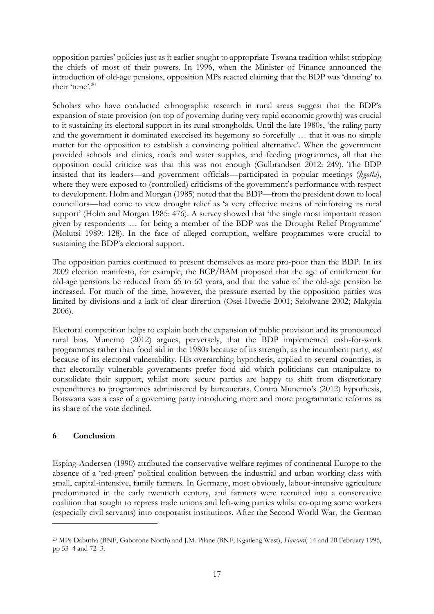opposition parties' policies just as it earlier sought to appropriate Tswana tradition whilst stripping the chiefs of most of their powers. In 1996, when the Minister of Finance announced the introduction of old-age pensions, opposition MPs reacted claiming that the BDP was 'dancing' to their 'tune'.<sup>20</sup>

Scholars who have conducted ethnographic research in rural areas suggest that the BDP's expansion of state provision (on top of governing during very rapid economic growth) was crucial to it sustaining its electoral support in its rural strongholds. Until the late 1980s, 'the ruling party and the government it dominated exercised its hegemony so forcefully … that it was no simple matter for the opposition to establish a convincing political alternative'. When the government provided schools and clinics, roads and water supplies, and feeding programmes, all that the opposition could criticize was that this was not enough (Gulbrandsen 2012: 249). The BDP insisted that its leaders—and government officials—participated in popular meetings (*kgotla*), where they were exposed to (controlled) criticisms of the government's performance with respect to development. Holm and Morgan (1985) noted that the BDP—from the president down to local councillors—had come to view drought relief as 'a very effective means of reinforcing its rural support' (Holm and Morgan 1985: 476). A survey showed that 'the single most important reason given by respondents … for being a member of the BDP was the Drought Relief Programme' (Molutsi 1989: 128). In the face of alleged corruption, welfare programmes were crucial to sustaining the BDP's electoral support.

The opposition parties continued to present themselves as more pro-poor than the BDP. In its 2009 election manifesto, for example, the BCP/BAM proposed that the age of entitlement for old-age pensions be reduced from 65 to 60 years, and that the value of the old-age pension be increased. For much of the time, however, the pressure exerted by the opposition parties was limited by divisions and a lack of clear direction (Osei-Hwedie 2001; Selolwane 2002; Makgala 2006).

Electoral competition helps to explain both the expansion of public provision and its pronounced rural bias. Munemo (2012) argues, perversely, that the BDP implemented cash-for-work programmes rather than food aid in the 1980s because of its strength, as the incumbent party, *not* because of its electoral vulnerability. His overarching hypothesis, applied to several countries, is that electorally vulnerable governments prefer food aid which politicians can manipulate to consolidate their support, whilst more secure parties are happy to shift from discretionary expenditures to programmes administered by bureaucrats. Contra Munemo's (2012) hypothesis, Botswana was a case of a governing party introducing more and more programmatic reforms as its share of the vote declined.

# **6 Conclusion**

-

Esping-Andersen (1990) attributed the conservative welfare regimes of continental Europe to the absence of a 'red-green' political coalition between the industrial and urban working class with small, capital-intensive, family farmers. In Germany, most obviously, labour-intensive agriculture predominated in the early twentieth century, and farmers were recruited into a conservative coalition that sought to repress trade unions and left-wing parties whilst co-opting some workers (especially civil servants) into corporatist institutions. After the Second World War, the German

<sup>20</sup> MPs Dabutha (BNF, Gaborone North) and J.M. Pilane (BNF, Kgatleng West), *Hansard*, 14 and 20 February 1996, pp 53–4 and 72–3.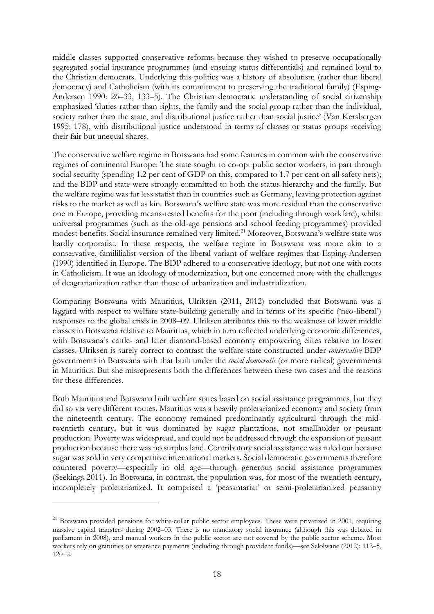middle classes supported conservative reforms because they wished to preserve occupationally segregated social insurance programmes (and ensuing status differentials) and remained loyal to the Christian democrats. Underlying this politics was a history of absolutism (rather than liberal democracy) and Catholicism (with its commitment to preserving the traditional family) (Esping-Andersen 1990: 26–33, 133–5). The Christian democratic understanding of social citizenship emphasized 'duties rather than rights, the family and the social group rather than the individual, society rather than the state, and distributional justice rather than social justice' (Van Kersbergen 1995: 178), with distributional justice understood in terms of classes or status groups receiving their fair but unequal shares.

The conservative welfare regime in Botswana had some features in common with the conservative regimes of continental Europe: The state sought to co-opt public sector workers, in part through social security (spending 1.2 per cent of GDP on this, compared to 1.7 per cent on all safety nets); and the BDP and state were strongly committed to both the status hierarchy and the family. But the welfare regime was far less statist than in countries such as Germany, leaving protection against risks to the market as well as kin. Botswana's welfare state was more residual than the conservative one in Europe, providing means-tested benefits for the poor (including through workfare), whilst universal programmes (such as the old-age pensions and school feeding programmes) provided modest benefits. Social insurance remained very limited.<sup>21</sup> Moreover, Botswana's welfare state was hardly corporatist. In these respects, the welfare regime in Botswana was more akin to a conservative, famililialist version of the liberal variant of welfare regimes that Esping-Andersen (1990) identified in Europe. The BDP adhered to a conservative ideology, but not one with roots in Catholicism. It was an ideology of modernization, but one concerned more with the challenges of deagrarianization rather than those of urbanization and industrialization.

Comparing Botswana with Mauritius, Ulriksen (2011, 2012) concluded that Botswana was a laggard with respect to welfare state-building generally and in terms of its specific ('neo-liberal') responses to the global crisis in 2008–09. Ulriksen attributes this to the weakness of lower middle classes in Botswana relative to Mauritius, which in turn reflected underlying economic differences, with Botswana's cattle- and later diamond-based economy empowering elites relative to lower classes. Ulriksen is surely correct to contrast the welfare state constructed under *conservative* BDP governments in Botswana with that built under the *social democratic* (or more radical) governments in Mauritius. But she misrepresents both the differences between these two cases and the reasons for these differences.

Both Mauritius and Botswana built welfare states based on social assistance programmes, but they did so via very different routes. Mauritius was a heavily proletarianized economy and society from the nineteenth century. The economy remained predominantly agricultural through the midtwentieth century, but it was dominated by sugar plantations, not smallholder or peasant production. Poverty was widespread, and could not be addressed through the expansion of peasant production because there was no surplus land. Contributory social assistance was ruled out because sugar was sold in very competitive international markets. Social democratic governments therefore countered poverty—especially in old age—through generous social assistance programmes (Seekings 2011). In Botswana, in contrast, the population was, for most of the twentieth century, incompletely proletarianized. It comprised a 'peasantariat' or semi-proletarianized peasantry

<sup>&</sup>lt;sup>21</sup> Botswana provided pensions for white-collar public sector employees. These were privatized in 2001, requiring massive capital transfers during 2002–03. There is no mandatory social insurance (although this was debated in parliament in 2008), and manual workers in the public sector are not covered by the public sector scheme. Most workers rely on gratuities or severance payments (including through provident funds)—see Selolwane (2012): 112–5, 120–2.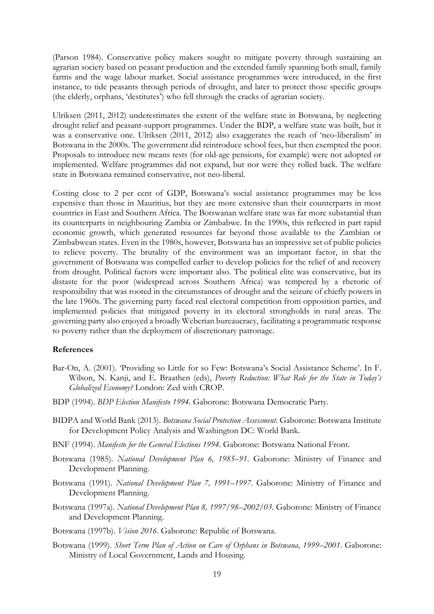(Parson 1984). Conservative policy makers sought to mitigate poverty through sustaining an agrarian society based on peasant production and the extended family spanning both small, family farms and the wage labour market. Social assistance programmes were introduced, in the first instance, to tide peasants through periods of drought, and later to protect those specific groups (the elderly, orphans, 'destitutes') who fell through the cracks of agrarian society.

Ulriksen (2011, 2012) underestimates the extent of the welfare state in Botswana, by neglecting drought relief and peasant-support programmes. Under the BDP, a welfare state was built, but it was a conservative one. Ulriksen (2011, 2012) also exaggerates the reach of 'neo-liberalism' in Botswana in the 2000s. The government did reintroduce school fees, but then exempted the poor. Proposals to introduce new means tests (for old-age pensions, for example) were not adopted or implemented. Welfare programmes did not expand, but nor were they rolled back. The welfare state in Botswana remained conservative, not neo-liberal.

Costing close to 2 per cent of GDP, Botswana's social assistance programmes may be less expensive than those in Mauritius, but they are more extensive than their counterparts in most countries in East and Southern Africa. The Botswanan welfare state was far more substantial than its counterparts in neighbouring Zambia or Zimbabwe. In the 1990s, this reflected in part rapid economic growth, which generated resources far beyond those available to the Zambian or Zimbabwean states. Even in the 1980s, however, Botswana has an impressive set of public policies to relieve poverty. The brutality of the environment was an important factor, in that the government of Botswana was compelled earlier to develop policies for the relief of and recovery from drought. Political factors were important also. The political elite was conservative, but its distaste for the poor (widespread across Southern Africa) was tempered by a rhetoric of responsibility that was rooted in the circumstances of drought and the seizure of chiefly powers in the late 1960s. The governing party faced real electoral competition from opposition parties, and implemented policies that mitigated poverty in its electoral strongholds in rural areas. The governing party also enjoyed a broadly Weberian bureaucracy, facilitating a programmatic response to poverty rather than the deployment of discretionary patronage.

#### **References**

- Bar-On, A. (2001). 'Providing so Little for so Few: Botswana's Social Assistance Scheme'. In F. Wilson, N. Kanji, and E. Braathen (eds), *Poverty Reduction: What Role for the State in Today's Globalized Economy?* London: Zed with CROP.
- BDP (1994). *BDP Election Manifesto 1994*. Gaborone: Botswana Democratic Party.
- BIDPA and World Bank (2013). *Botswana Social Protection Assessment*. Gaborone: Botswana Institute for Development Policy Analysis and Washington DC: World Bank.
- BNF (1994). *Manifesto for the General Elections 1994*. Gaborone: Botswana National Front.
- Botswana (1985). *National Development Plan 6, 1985–91*. Gaborone: Ministry of Finance and Development Planning.
- Botswana (1991). *National Development Plan 7, 1991–1997*. Gaborone: Ministry of Finance and Development Planning.
- Botswana (1997a). *National Development Plan 8, 1997/98–2002/03*. Gaborone: Ministry of Finance and Development Planning.
- Botswana (1997b). *Vision 2016*. Gaborone: Republic of Botswana.
- Botswana (1999). *Short Term Plan of Action on Care of Orphans in Botswana, 1999–2001*. Gaborone: Ministry of Local Government, Lands and Housing.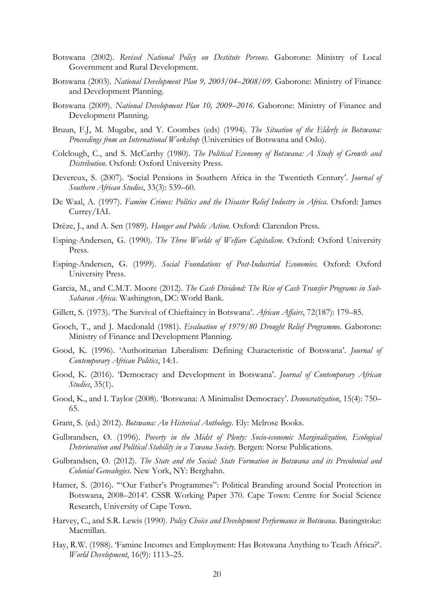- Botswana (2002). *Revised National Policy on Destitute Persons*. Gaborone: Ministry of Local Government and Rural Development.
- Botswana (2003). *National Development Plan 9, 2003/04–2008/09*. Gaborone: Ministry of Finance and Development Planning.
- Botswana (2009). *National Development Plan 10, 2009–2016*. Gaborone: Ministry of Finance and Development Planning.
- Bruun, F.J, M. Mugabe, and Y. Coombes (eds) (1994). *The Situation of the Elderly in Botswana: Proceedings from an International Workshop* (Universities of Botswana and Oslo).
- Colclough, C., and S. McCarthy (1980). *The Political Economy of Botswana: A Study of Growth and Distribution*. Oxford: Oxford University Press.
- Devereux, S. (2007). 'Social Pensions in Southern Africa in the Twentieth Century'. *Journal of Southern African Studies*, 33(3): 539–60.
- De Waal, A. (1997). *Famine Crimes: Politics and the Disaster Relief Industry in Africa*. Oxford: James Currey/IAI.
- Drèze, J., and A. Sen (1989). *Hunger and Public Action*. Oxford: Clarendon Press.
- Esping-Andersen, G. (1990). *The Three Worlds of Welfare Capitalism*. Oxford: Oxford University Press.
- Esping-Andersen, G. (1999). *Social Foundations of Post-Industrial Economies*. Oxford: Oxford University Press.
- Garcia, M., and C.M.T. Moore (2012). *The Cash Dividend: The Rise of Cash Transfer Programs in Sub-Saharan Africa*. Washington, DC: World Bank.
- Gillett, S. (1973). 'The Survival of Chieftaincy in Botswana'. *African Affairs*, 72(187): 179–85.
- Gooch, T., and J. Macdonald (1981). *Evaluation of 1979/80 Drought Relief Programme*. Gaborone: Ministry of Finance and Development Planning.
- Good, K. (1996). 'Authoritarian Liberalism: Defining Characteristic of Botswana'. *Journal of Contemporary African Politics*, 14:1.
- Good, K. (2016). 'Democracy and Development in Botswana'. *Journal of Contemporary African Studies*, 35(1).
- Good, K., and I. Taylor (2008). 'Botswana: A Minimalist Democracy'. *Democratization*, 15(4): 750– 65.
- Grant, S. (ed.) 2012). *Botswana: An Historical Anthology*. Ely: Melrose Books.
- Gulbrandsen, Ø. (1996). *Poverty in the Midst of Plenty: Socio-economic Marginalization, Ecological Deterioration and Political Stability in a Tswana Society*. Bergen: Norse Publications.
- Gulbrandsen, Ø. (2012). *The State and the Social: State Formation in Botswana and its Precolonial and Colonial Genealogies*. New York, NY: Berghahn.
- Hamer, S. (2016). '"Our Father's Programmes": Political Branding around Social Protection in Botswana, 2008–2014'. CSSR Working Paper 370. Cape Town: Centre for Social Science Research, University of Cape Town.
- Harvey, C., and S.R. Lewis (1990). *Policy Choice and Development Performance in Botswana*. Basingstoke: Macmillan.
- Hay, R.W. (1988). 'Famine Incomes and Employment: Has Botswana Anything to Teach Africa?'. *World Development*, 16(9): 1113–25.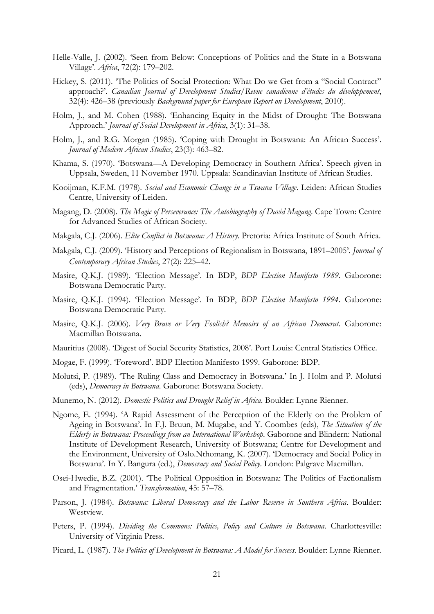- Helle-Valle, J. (2002). 'Seen from Below: Conceptions of Politics and the State in a Botswana Village'. *Africa*, 72(2): 179–202.
- Hickey, S. (2011). 'The Politics of Social Protection: What Do we Get from a "Social Contract" approach?'. *Canadian Journal of Development Studies/Revue canadienne d'études du développement*, 32(4): 426–38 (previously *Background paper for European Report on Development*, 2010).
- Holm, J., and M. Cohen (1988). 'Enhancing Equity in the Midst of Drought: The Botswana Approach.' *Journal of Social Development in Africa*, 3(1): 31–38.
- Holm, J., and R.G. Morgan (1985). 'Coping with Drought in Botswana: An African Success'. *Journal of Modern African Studies*, 23(3): 463–82.
- Khama, S. (1970). 'Botswana—A Developing Democracy in Southern Africa'. Speech given in Uppsala, Sweden, 11 November 1970. Uppsala: Scandinavian Institute of African Studies.
- Kooijman, K.F.M. (1978). *Social and Economic Change in a Tswana Village*. Leiden: African Studies Centre, University of Leiden.
- Magang, D. (2008). *The Magic of Perseverance: The Autobiography of David Magang*. Cape Town: Centre for Advanced Studies of African Society.
- Makgala, C.J. (2006). *Elite Conflict in Botswana: A History*. Pretoria: Africa Institute of South Africa.
- Makgala, C.J. (2009). 'History and Perceptions of Regionalism in Botswana, 1891–2005'. *Journal of Contemporary African Studies*, 27(2): 225–42.
- Masire, Q.K.J. (1989). 'Election Message'. In BDP, *BDP Election Manifesto 1989*. Gaborone: Botswana Democratic Party.
- Masire, Q.K.J. (1994). 'Election Message'. In BDP, *BDP Election Manifesto 1994*. Gaborone: Botswana Democratic Party.
- Masire, Q.K.J. (2006). *Very Brave or Very Foolish? Memoirs of an African Democrat*. Gaborone: Macmillan Botswana.
- Mauritius (2008). 'Digest of Social Security Statistics, 2008'. Port Louis: Central Statistics Office.
- Mogae, F. (1999). 'Foreword'. BDP Election Manifesto 1999. Gaborone: BDP.
- Molutsi, P. (1989). 'The Ruling Class and Democracy in Botswana.' In J. Holm and P. Molutsi (eds), *Democracy in Botswana*. Gaborone: Botswana Society.
- Munemo, N. (2012). *Domestic Politics and Drought Relief in Africa*. Boulder: Lynne Rienner.
- Ngome, E. (1994). 'A Rapid Assessment of the Perception of the Elderly on the Problem of Ageing in Botswana'. In F.J. Bruun, M. Mugabe, and Y. Coombes (eds), *The Situation of the Elderly in Botswana: Proceedings from an International Workshop*. Gaborone and Blindern: National Institute of Development Research, University of Botswana; Centre for Development and the Environment, University of Oslo.Nthomang, K. (2007). 'Democracy and Social Policy in Botswana'. In Y. Bangura (ed.), *Democracy and Social Policy*. London: Palgrave Macmillan.
- Osei-Hwedie, B.Z. (2001). 'The Political Opposition in Botswana: The Politics of Factionalism and Fragmentation.' *Transformation*, 45: 57–78.
- Parson, J. (1984). *Botswana: Liberal Democracy and the Labor Reserve in Southern Africa*. Boulder: Westview.
- Peters, P. (1994). *Dividing the Commons: Politics, Policy and Culture in Botswana*. Charlottesville: University of Virginia Press.
- Picard, L. (1987). *The Politics of Development in Botswana: A Model for Success*. Boulder: Lynne Rienner.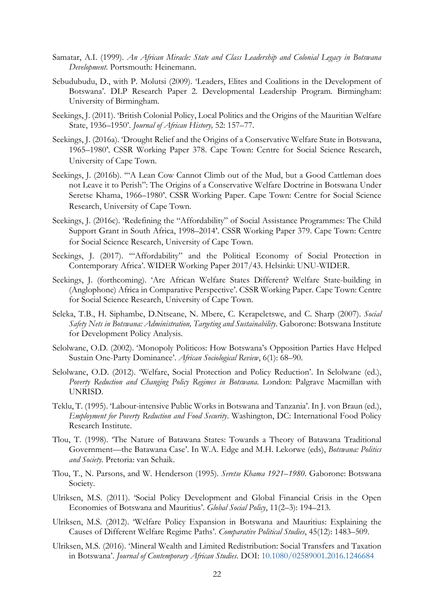- Samatar, A.I. (1999). *An African Miracle: State and Class Leadership and Colonial Legacy in Botswana Development*. Portsmouth: Heinemann.
- Sebudubudu, D., with P. Molutsi (2009). 'Leaders, Elites and Coalitions in the Development of Botswana'. DLP Research Paper 2. Developmental Leadership Program. Birmingham: University of Birmingham.
- Seekings, J. (2011). 'British Colonial Policy, Local Politics and the Origins of the Mauritian Welfare State, 1936–1950'. *Journal of African History,* 52: 157–77.
- Seekings, J. (2016a). 'Drought Relief and the Origins of a Conservative Welfare State in Botswana, 1965–1980'. CSSR Working Paper 378. Cape Town: Centre for Social Science Research, University of Cape Town.
- Seekings, J. (2016b). '"A Lean Cow Cannot Climb out of the Mud, but a Good Cattleman does not Leave it to Perish": The Origins of a Conservative Welfare Doctrine in Botswana Under Seretse Khama, 1966–1980'. CSSR Working Paper. Cape Town: Centre for Social Science Research, University of Cape Town.
- Seekings, J. (2016c). 'Redefining the "Affordability" of Social Assistance Programmes: The Child Support Grant in South Africa, 1998–2014'. CSSR Working Paper 379. Cape Town: Centre for Social Science Research, University of Cape Town.
- Seekings, J. (2017). "Affordability" and the Political Economy of Social Protection in Contemporary Africa'. WIDER Working Paper 2017/43. Helsinki: UNU-WIDER.
- Seekings, J. (forthcoming). 'Are African Welfare States Different? Welfare State-building in (Anglophone) Africa in Comparative Perspective'. CSSR Working Paper. Cape Town: Centre for Social Science Research, University of Cape Town.
- Seleka, T.B., H. Siphambe, D.Ntseane, N. Mbere, C. Kerapeletswe, and C. Sharp (2007). *Social Safety Nets in Botswana: Administration, Targeting and Sustainability*. Gaborone: Botswana Institute for Development Policy Analysis.
- Selolwane, O.D. (2002). 'Monopoly Politicos: How Botswana's Opposition Parties Have Helped Sustain One-Party Dominance'. *African Sociological Review*, 6(1): 68–90.
- Selolwane, O.D. (2012). 'Welfare, Social Protection and Policy Reduction'. In Selolwane (ed.), *Poverty Reduction and Changing Policy Regimes in Botswana*. London: Palgrave Macmillan with UNRISD.
- Teklu, T. (1995). 'Labour-intensive Public Works in Botswana and Tanzania'. In J. von Braun (ed.), *Employment for Poverty Reduction and Food Security*. Washington, DC: International Food Policy Research Institute.
- Tlou, T. (1998). 'The Nature of Batawana States: Towards a Theory of Batawana Traditional Government—the Batawana Case'. In W.A. Edge and M.H. Lekorwe (eds), *Botswana: Politics and Society*. Pretoria: van Schaik.
- Tlou, T., N. Parsons, and W. Henderson (1995). *Seretse Khama 1921–1980*. Gaborone: Botswana Society.
- Ulriksen, M.S. (2011). 'Social Policy Development and Global Financial Crisis in the Open Economies of Botswana and Mauritius'. *Global Social Policy*, 11(2–3): 194–213.
- Ulriksen, M.S. (2012). 'Welfare Policy Expansion in Botswana and Mauritius: Explaining the Causes of Different Welfare Regime Paths'. *Comparative Political Studies*, 45(12): 1483–509.
- Ulriksen, M.S. (2016). 'Mineral Wealth and Limited Redistribution: Social Transfers and Taxation in Botswana'. *Journal of Contemporary African Studies*. DOI: [10.1080/02589001.2016.1246684](http://dx.doi.org/10.1080/02589001.2016.1246684)